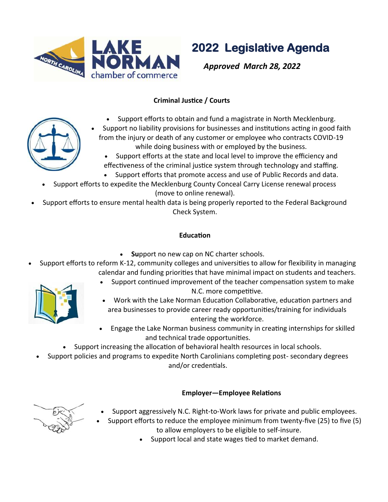

**2022 Legislative Agenda** 

*Approved March 28, 2022* 

### **Criminal Justice / Courts**

- Support efforts to obtain and fund a magistrate in North Mecklenburg.
- Support no liability provisions for businesses and institutions acting in good faith from the injury or death of any customer or employee who contracts COVID-19 while doing business with or employed by the business.
	- Support efforts at the state and local level to improve the efficiency and effectiveness of the criminal justice system through technology and staffing.
	- Support efforts that promote access and use of Public Records and data.
- Support efforts to expedite the Mecklenburg County Conceal Carry License renewal process (move to online renewal).
- Support efforts to ensure mental health data is being properly reported to the Federal Background Check System.

# **Education**

- **Su**pport no new cap on NC charter schools.
- Support efforts to reform K-12, community colleges and universities to allow for flexibility in managing calendar and funding priorities that have minimal impact on students and teachers.



- Support continued improvement of the teacher compensation system to make N.C. more competitive.
- Work with the Lake Norman Education Collaborative, education partners and area businesses to provide career ready opportunities/training for individuals entering the workforce.
- Engage the Lake Norman business community in creating internships for skilled and technical trade opportunities.
- Support increasing the allocation of behavioral health resources in local schools.
- Support policies and programs to expedite North Carolinians completing post- secondary degrees and/or credentials.

### **Employer—Employee Relations**



- Support aggressively N.C. Right-to-Work laws for private and public employees.
- Support efforts to reduce the employee minimum from twenty-five (25) to five (5) to allow employers to be eligible to self-insure.
	- Support local and state wages tied to market demand.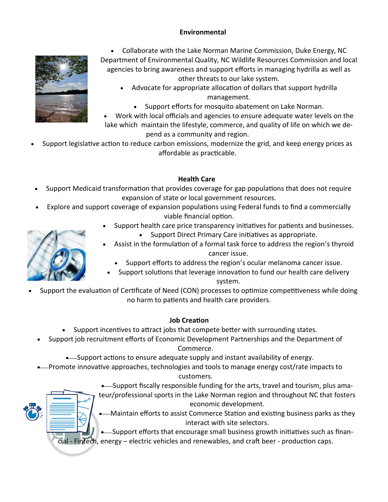### **Environmental**



• Collaborate with the Lake Norman Marine Commission, Duke Energy, NC Department of Environmental Quality, NC Wildlife Resources Commission and local agencies to bring awareness and support efforts in managing hydrilla as well as other threats to our lake system.

- Advocate for appropriate allocation of dollars that support hydrilla management.
	- Support efforts for mosquito abatement on Lake Norman.
- Work with local officials and agencies to ensure adequate water levels on the lake which maintain the lifestyle, commerce, and quality of life on which we depend as a community and region.
- Support legislative action to reduce carbon emissions, modernize the grid, and keep energy prices as affordable as practicable.

### **Health Care**

- Support Medicaid transformation that provides coverage for gap populations that does not require expansion of state or local government resources.
- Explore and support coverage of expansion populations using Federal funds to find a commercially viable financial option.
	- Support health care price transparency initiatives for patients and businesses.
		- Support Direct Primary Care initiatives as appropriate.
	- Assist in the formulation of a formal task force to address the region's thyroid cancer issue.
		- Support efforts to address the region's ocular melanoma cancer issue.
	- Support solutions that leverage innovation to fund our health care delivery system.
- Support the evaluation of Certificate of Need (CON) processes to optimize competitiveness while doing no harm to patients and health care providers.

#### **Job Creation**

- Support incentives to attract jobs that compete better with surrounding states.
- Support job recruitment efforts of Economic Development Partnerships and the Department of Commerce.
	- Support actions to ensure adequate supply and instant availability of energy.
- Promote innovative approaches, technologies and tools to manage energy cost/rate impacts to customers.
	- Support fiscally responsible funding for the arts, travel and tourism, plus amateur/professional sports in the Lake Norman region and throughout NC that fosters economic development.
		- -Maintain efforts to assist Commerce Station and existing business parks as they interact with site selectors.

-Support efforts that encourage small business growth initiatives such as financial - Fintech, energy – electric vehicles and renewables, and craft beer - production caps.

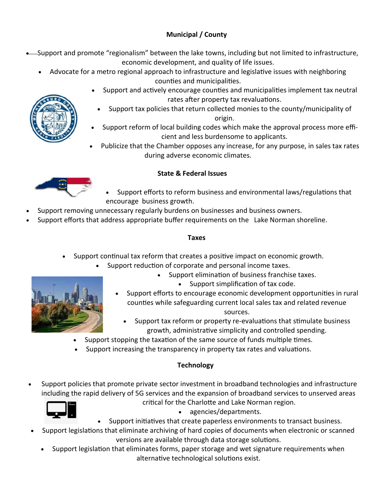# **Municipal / County**

- Support and promote "regionalism" between the lake towns, including but not limited to infrastructure, economic development, and quality of life issues.
	- Advocate for a metro regional approach to infrastructure and legislative issues with neighboring counties and municipalities.
		- Support and actively encourage counties and municipalities implement tax neutral rates after property tax revaluations.
		- Support tax policies that return collected monies to the county/municipality of origin.
		- Support reform of local building codes which make the approval process more efficient and less burdensome to applicants.
		- Publicize that the Chamber opposes any increase, for any purpose, in sales tax rates during adverse economic climates.

# **State & Federal Issues**

- Support efforts to reform business and environmental laws/regulations that encourage business growth.
- Support removing unnecessary regularly burdens on businesses and business owners.
- Support efforts that address appropriate buffer requirements on the Lake Norman shoreline.

#### **Taxes**

- Support continual tax reform that creates a positive impact on economic growth.
	- Support reduction of corporate and personal income taxes.
		- Support elimination of business franchise taxes.
			- Support simplification of tax code.
		- Support efforts to encourage economic development opportunities in rural counties while safeguarding current local sales tax and related revenue sources.
			- Support tax reform or property re-evaluations that stimulate business growth, administrative simplicity and controlled spending.
	- Support stopping the taxation of the same source of funds multiple times.
	- Support increasing the transparency in property tax rates and valuations.

# **Technology**

• Support policies that promote private sector investment in broadband technologies and infrastructure including the rapid delivery of 5G services and the expansion of broadband services to unserved areas



critical for the Charlotte and Lake Norman region.



- agencies/departments.
- Support initiatives that create paperless environments to transact business.
- Support legislations that eliminate archiving of hard copies of documents when electronic or scanned versions are available through data storage solutions.
	- Support legislation that eliminates forms, paper storage and wet signature requirements when alternative technological solutions exist.



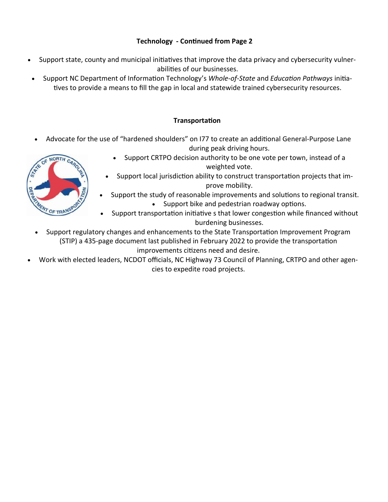### **Technology - Continued from Page 2**

- Support state, county and municipal initiatives that improve the data privacy and cybersecurity vulnerabilities of our businesses.
- Support NC Department of Information Technology's *Whole-of-State* and *Education Pathways* initiatives to provide a means to fill the gap in local and statewide trained cybersecurity resources.

### **Transportation**

• Advocate for the use of "hardened shoulders" on I77 to create an additional General-Purpose Lane during peak driving hours.



- Support CRTPO decision authority to be one vote per town, instead of a weighted vote.
- Support local jurisdiction ability to construct transportation projects that improve mobility.
- Support the study of reasonable improvements and solutions to regional transit. • Support bike and pedestrian roadway options.
- Support transportation initiative s that lower congestion while financed without burdening businesses.
- Support regulatory changes and enhancements to the State Transportation Improvement Program (STIP) a 435-page document last published in February 2022 to provide the transportation improvements citizens need and desire.
- Work with elected leaders, NCDOT officials, NC Highway 73 Council of Planning, CRTPO and other agencies to expedite road projects.